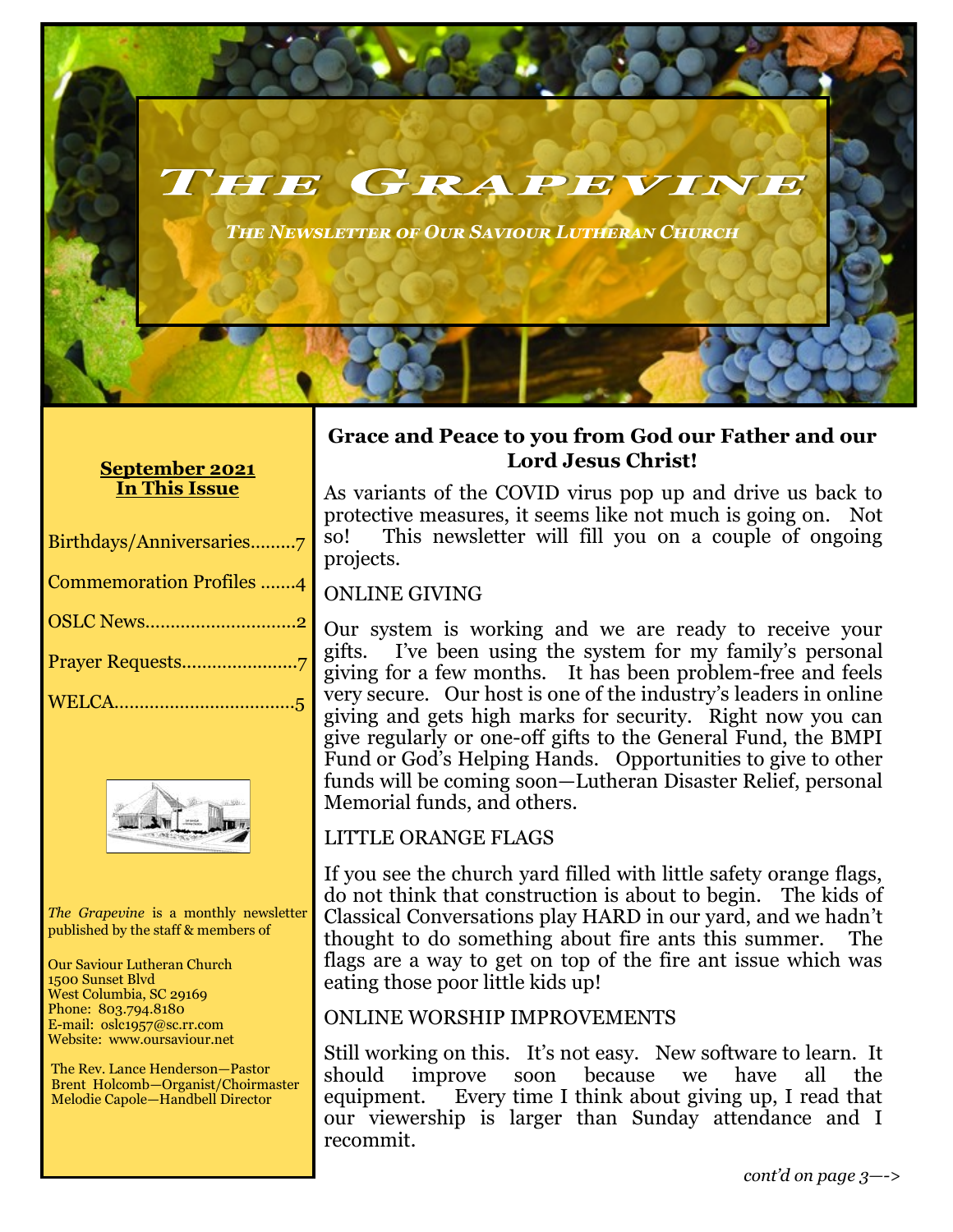

#### **September 2021 In This Issue**

| Birthdays/Anniversaries7        |
|---------------------------------|
| <b>Commemoration Profiles 4</b> |
|                                 |
|                                 |
|                                 |



*The Grapevine* is a monthly newsletter published by the staff & members of

Our Saviour Lutheran Church 1500 Sunset Blvd West Columbia, SC 29169 Phone: 803.794.8180 E-mail: oslc1957@sc.rr.com Website: www.oursaviour.net

 The Rev. Lance Henderson—Pastor Brent Holcomb—Organist/Choirmaster Melodie Capole—Handbell Director

## **Grace and Peace to you from God our Father and our Lord Jesus Christ!**

As variants of the COVID virus pop up and drive us back to protective measures, it seems like not much is going on. Not so! This newsletter will fill you on a couple of ongoing projects.

## ONLINE GIVING

Our system is working and we are ready to receive your gifts. I've been using the system for my family's personal giving for a few months. It has been problem-free and feels very secure. Our host is one of the industry's leaders in online giving and gets high marks for security. Right now you can give regularly or one-off gifts to the General Fund, the BMPI Fund or God's Helping Hands. Opportunities to give to other funds will be coming soon—Lutheran Disaster Relief, personal Memorial funds, and others.

## LITTLE ORANGE FLAGS

If you see the church yard filled with little safety orange flags, do not think that construction is about to begin. The kids of Classical Conversations play HARD in our yard, and we hadn't thought to do something about fire ants this summer. The flags are a way to get on top of the fire ant issue which was eating those poor little kids up!

## ONLINE WORSHIP IMPROVEMENTS

Still working on this. It's not easy. New software to learn. It should improve soon because we have all the equipment. Every time I think about giving up, I read that our viewership is larger than Sunday attendance and I recommit.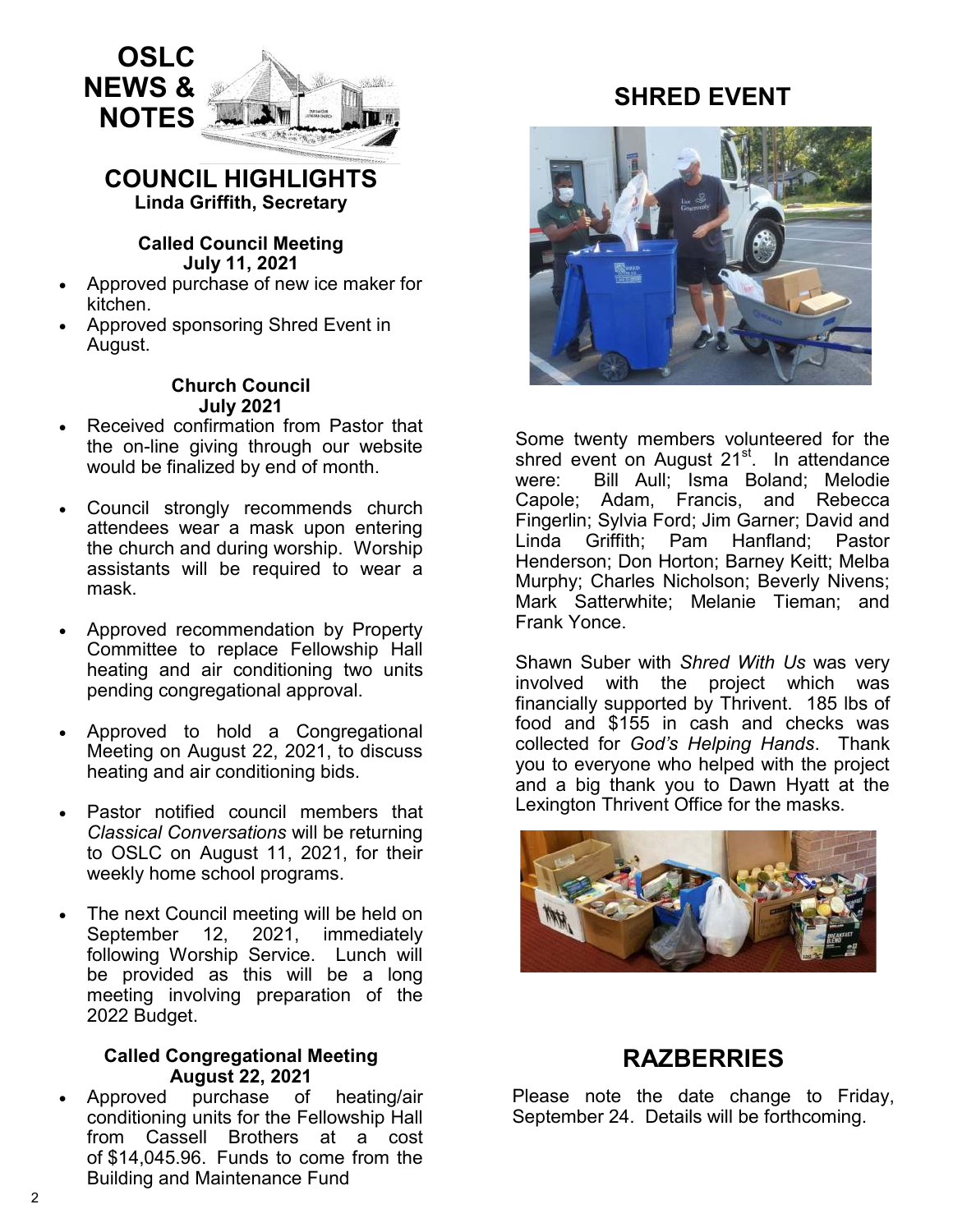

#### **COUNCIL HIGHLIGHTS Linda Griffith, Secretary**

#### **Called Council Meeting July 11, 2021**

- Approved purchase of new ice maker for kitchen.
- Approved sponsoring Shred Event in August.

#### **Church Council July 2021**

- Received confirmation from Pastor that the on-line giving through our website would be finalized by end of month.
- Council strongly recommends church attendees wear a mask upon entering the church and during worship. Worship assistants will be required to wear a mask.
- Approved recommendation by Property Committee to replace Fellowship Hall heating and air conditioning two units pending congregational approval.
- Approved to hold a Congregational Meeting on August 22, 2021, to discuss heating and air conditioning bids.
- Pastor notified council members that *Classical Conversations* will be returning to OSLC on August 11, 2021, for their weekly home school programs.
- The next Council meeting will be held on September 12, 2021, immediately following Worship Service. Lunch will be provided as this will be a long meeting involving preparation of the 2022 Budget.

# **Called Congregational Meeting August 22, 2021**

purchase of heating/air conditioning units for the Fellowship Hall from Cassell Brothers at a cost of \$14,045.96. Funds to come from the Building and Maintenance Fund

## **SHRED EVENT**



Some twenty members volunteered for the shred event on August 21<sup>st</sup>. In attendance were: Bill Aull; Isma Boland; Melodie Capole; Adam, Francis, and Rebecca Fingerlin; Sylvia Ford; Jim Garner; David and Linda Griffith; Pam Hanfland; Pastor Henderson; Don Horton; Barney Keitt; Melba Murphy; Charles Nicholson; Beverly Nivens; Mark Satterwhite; Melanie Tieman; and Frank Yonce.

Shawn Suber with *Shred With Us* was very involved with the project which was financially supported by Thrivent. 185 lbs of food and \$155 in cash and checks was collected for *God's Helping Hands*. Thank you to everyone who helped with the project and a big thank you to Dawn Hyatt at the Lexington Thrivent Office for the masks.



# **RAZBERRIES**

Please note the date change to Friday, September 24. Details will be forthcoming.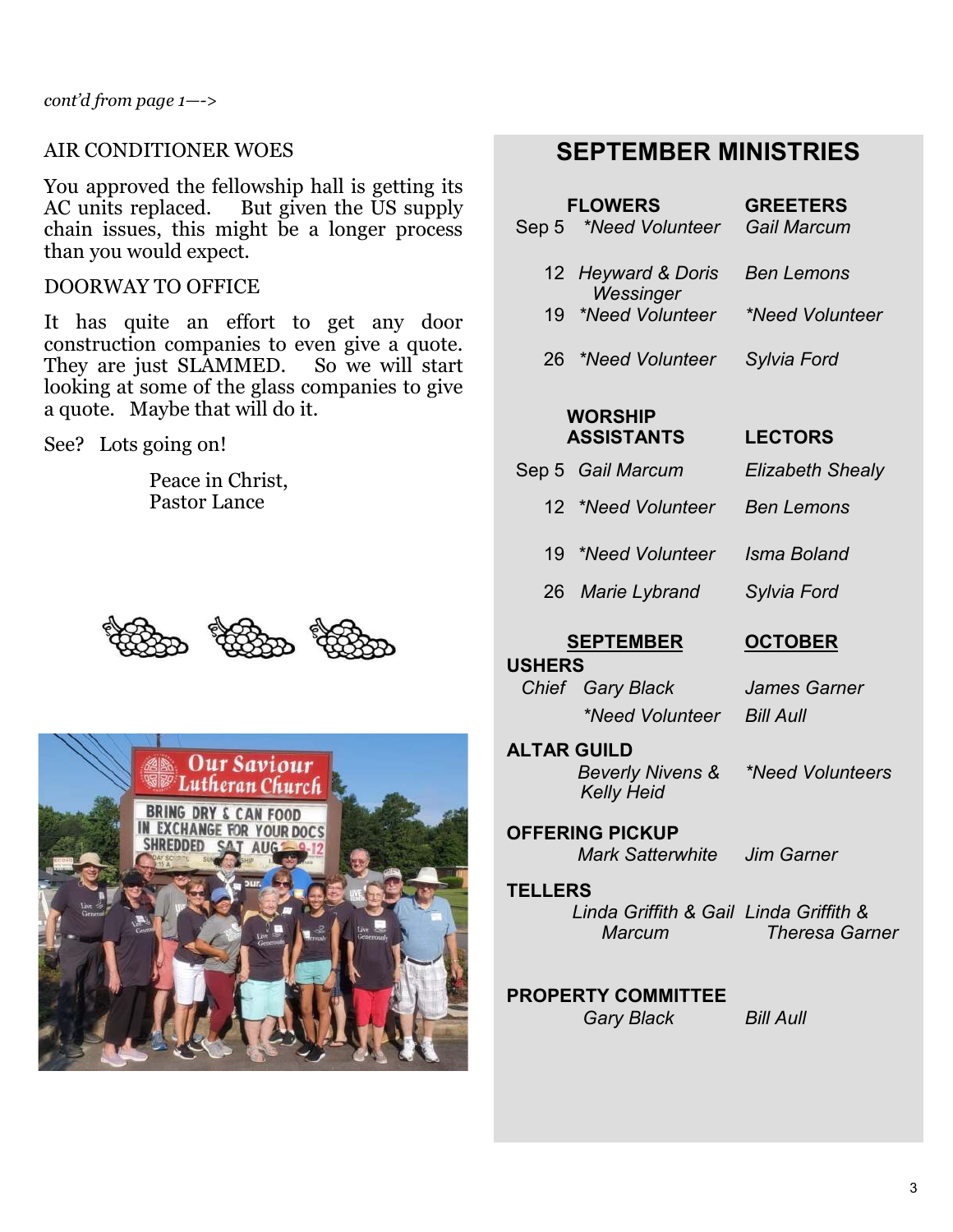*cont'd from page 1—->*

#### AIR CONDITIONER WOES

You approved the fellowship hall is getting its AC units replaced. But given the US supply chain issues, this might be a longer process than you would expect.

#### DOORWAY TO OFFICE

It has quite an effort to get any door construction companies to even give a quote. They are just SLAMMED. So we will start looking at some of the glass companies to give a quote. Maybe that will do it.

See? Lots going on!

Peace in Christ, Pastor Lance





## **SEPTEMBER MINISTRIES**

| Sep 5                               | <b>FLOWERS</b><br><i>*Need Volunteer</i> | <b>GREETERS</b><br>Gail Marcum |
|-------------------------------------|------------------------------------------|--------------------------------|
|                                     | 12 Heyward & Doris<br>Wessinger          | <b>Ben Lemons</b>              |
|                                     | 19 *Need Volunteer                       | <i>*Need Volunteer</i>         |
| 26.                                 | *Need Volunteer                          | Sylvia Ford                    |
| <b>WORSHIP</b><br><b>ASSISTANTS</b> |                                          | <b>LECTORS</b>                 |
|                                     | Sep 5 Gail Marcum                        | <b>Elizabeth Shealy</b>        |
|                                     | 12 *Need Volunteer                       | <b>Ben Lemons</b>              |
|                                     |                                          |                                |

- 19 *\*Need Volunteer Isma Boland*
- 26 *Marie Lybrand Sylvia Ford*

#### **SEPTEMBER OCTOBER**

 **USHERS**   *Chief Gary Black James Garner \*Need Volunteer Bill Aull* 

 **ALTAR GUILD**   *Beverly Nivens & Kelly Heid*

*\*Need Volunteers*

 *Mark Satterwhite Jim Garner*

 **OFFERING PICKUP** 

# **TELLERS**  *Marcum*

 *Linda Griffith & Gail Linda Griffith & Theresa Garner*

#### **PROPERTY COMMITTEE**   *Gary Black Bill Aull*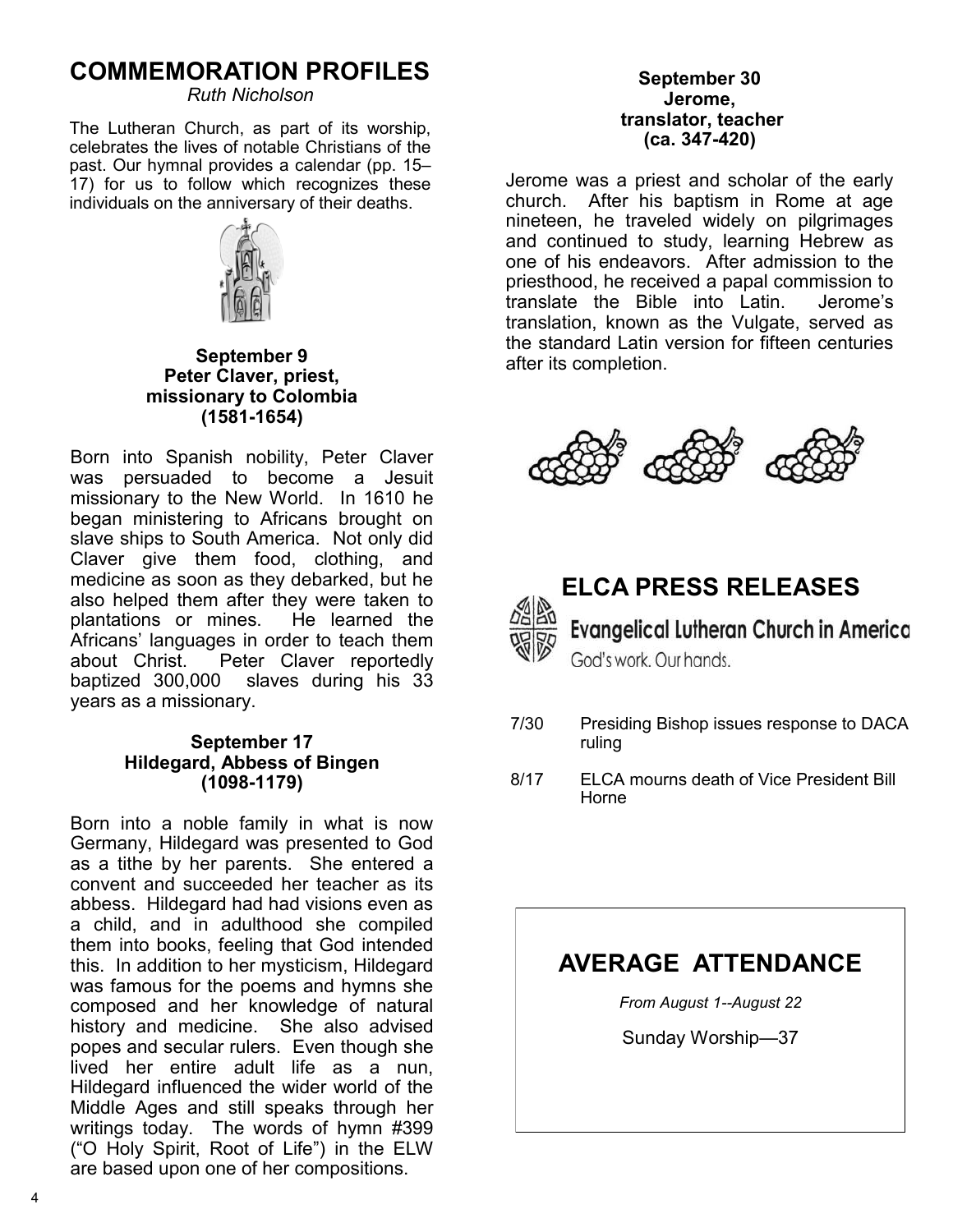# **COMMEMORATION PROFILES**

*Ruth Nicholson*

The Lutheran Church, as part of its worship, celebrates the lives of notable Christians of the past. Our hymnal provides a calendar (pp. 15– 17) for us to follow which recognizes these individuals on the anniversary of their deaths.



**September 9 Peter Claver, priest, missionary to Colombia (1581-1654)**

Born into Spanish nobility, Peter Claver was persuaded to become a Jesuit missionary to the New World. In 1610 he began ministering to Africans brought on slave ships to South America. Not only did Claver give them food, clothing, and medicine as soon as they debarked, but he also helped them after they were taken to plantations or mines. He learned the Africans' languages in order to teach them<br>about Christ. Peter Claver reportedly about Christ. Peter Claver reportedly<br>baptized 300,000 slaves during his 33 slaves during his 33 years as a missionary.

#### **September 17 Hildegard, Abbess of Bingen (1098-1179)**

Born into a noble family in what is now Germany, Hildegard was presented to God as a tithe by her parents. She entered a convent and succeeded her teacher as its abbess. Hildegard had had visions even as a child, and in adulthood she compiled them into books, feeling that God intended this. In addition to her mysticism, Hildegard was famous for the poems and hymns she composed and her knowledge of natural history and medicine. She also advised popes and secular rulers. Even though she lived her entire adult life as a nun, Hildegard influenced the wider world of the Middle Ages and still speaks through her writings today. The words of hymn #399 ("O Holy Spirit, Root of Life") in the ELW are based upon one of her compositions.

#### **September 30 Jerome, translator, teacher (ca. 347-420)**

Jerome was a priest and scholar of the early church. After his baptism in Rome at age nineteen, he traveled widely on pilgrimages and continued to study, learning Hebrew as one of his endeavors. After admission to the priesthood, he received a papal commission to translate the Bible into Latin. Jerome's translation, known as the Vulgate, served as the standard Latin version for fifteen centuries after its completion.





# **ELCA PRESS RELEASES**

**Evangelical Lutheran Church in America** God's work. Our hands.

- 7/30 Presiding Bishop issues response to DACA ruling
- 8/17 ELCA mourns death of Vice President Bill Horne

# **AVERAGE ATTENDANCE**

*From August 1--August 22*

Sunday Worship—37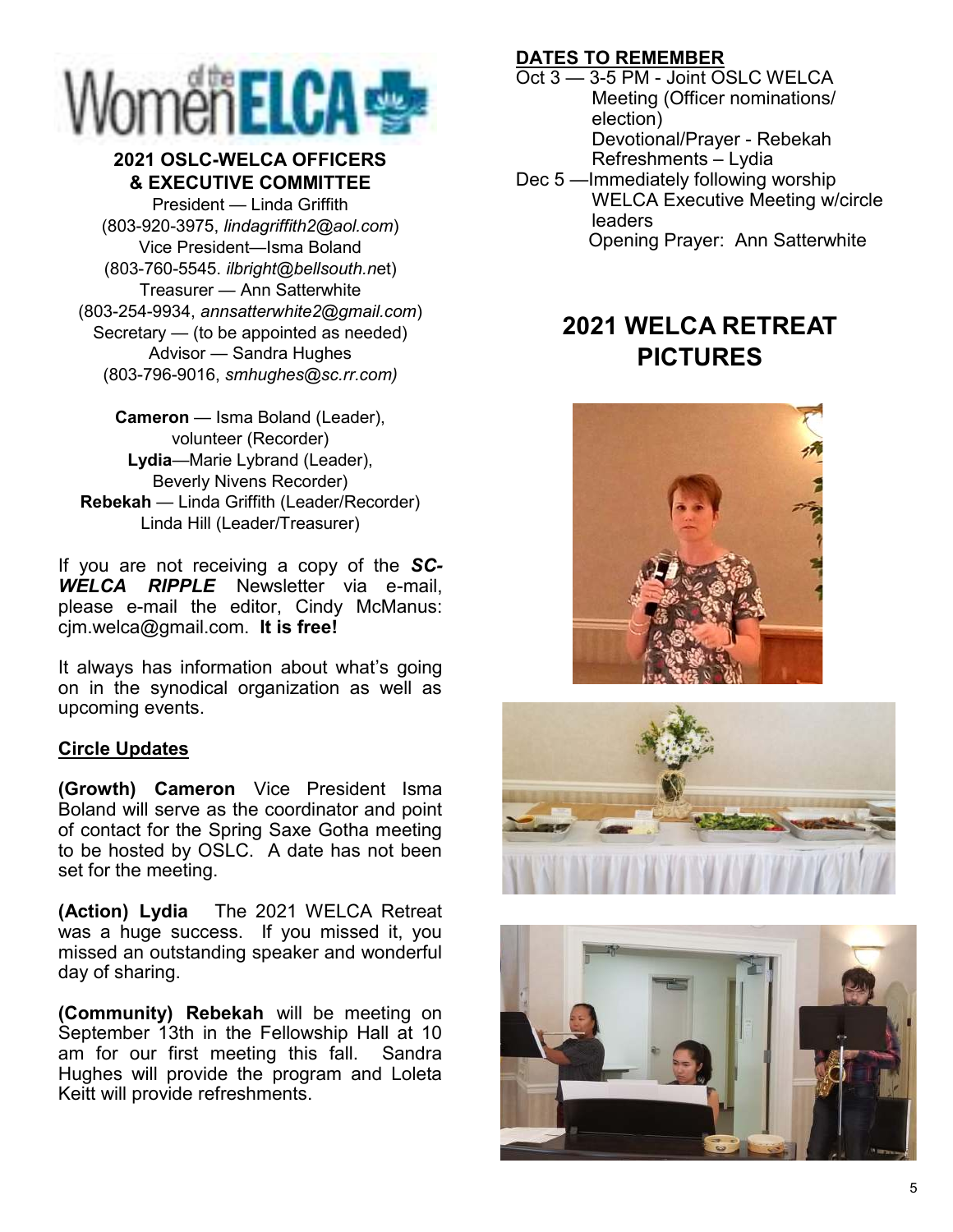

#### **2021 OSLC-WELCA OFFICERS & EXECUTIVE COMMITTEE**

President — Linda Griffith (803-920-3975, *lindagriffith2@aol.com*) Vice President—Isma Boland (803-760-5545. *ilbright@bellsouth.n*et) Treasurer — Ann Satterwhite (803-254-9934, *annsatterwhite2@gmail.com*) Secretary — (to be appointed as needed) Advisor — Sandra Hughes (803-796-9016, *smhughes@sc.rr.com)*

**Cameron** — Isma Boland (Leader), volunteer (Recorder) **Lydia**—Marie Lybrand (Leader), Beverly Nivens Recorder) **Rebekah** — Linda Griffith (Leader/Recorder) Linda Hill (Leader/Treasurer)

If you are not receiving a copy of the *SC-WELCA RIPPLE* Newsletter via e-mail, please e-mail the editor, Cindy McManus: cjm.welca@gmail.com. **It is free!** 

It always has information about what's going on in the synodical organization as well as upcoming events.

#### **Circle Updates** Ξ

**(Growth) Cameron** Vice President Isma Boland will serve as the coordinator and point of contact for the Spring Saxe Gotha meeting to be hosted by OSLC. A date has not been set for the meeting.

**(Action) Lydia** The 2021 WELCA Retreat was a huge success. If you missed it, you missed an outstanding speaker and wonderful day of sharing.

**(Community) Rebekah** will be meeting on September 13th in the Fellowship Hall at 10 am for our first meeting this fall. Sandra Hughes will provide the program and Loleta Keitt will provide refreshments.

#### **DATES TO REMEMBER**

- Oct 3 3-5 PM Joint OSLC WELCA Meeting (Officer nominations/ election) Devotional/Prayer - Rebekah Refreshments – Lydia
- Dec 5 —Immediately following worship WELCA Executive Meeting w/circle leaders Opening Prayer: Ann Satterwhite

# **2021 WELCA RETREAT PICTURES**





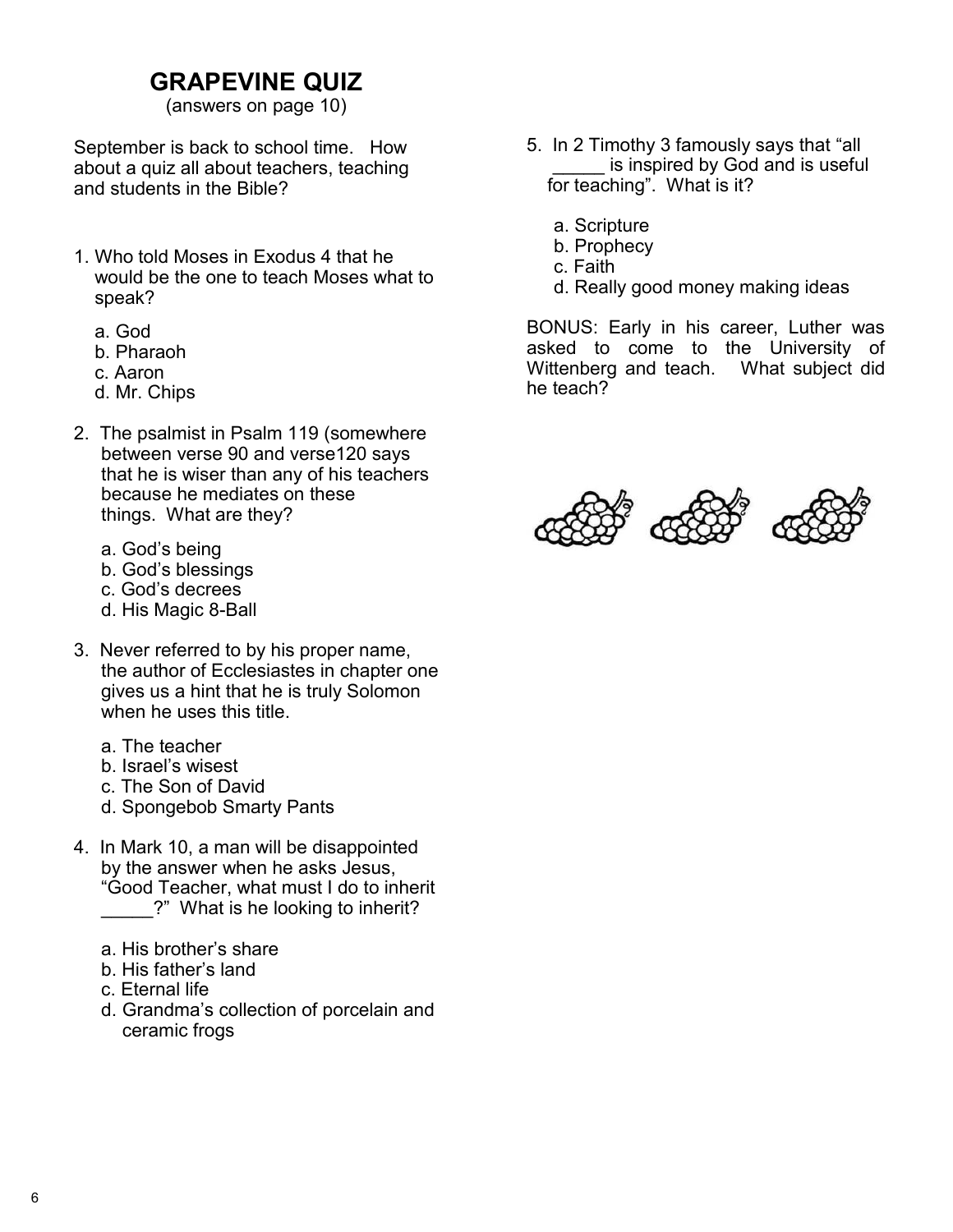# **GRAPEVINE QUIZ**

(answers on page 10)

September is back to school time. How about a quiz all about teachers, teaching and students in the Bible?

- 1. Who told Moses in Exodus 4 that he would be the one to teach Moses what to speak?
	- a. God
	- b. Pharaoh
	- c. Aaron
	- d. Mr. Chips
- 2. The psalmist in Psalm 119 (somewhere between verse 90 and verse120 says that he is wiser than any of his teachers because he mediates on these things. What are they?
	- a. God's being
	- b. God's blessings
	- c. God's decrees
	- d. His Magic 8-Ball
- 3. Never referred to by his proper name, the author of Ecclesiastes in chapter one gives us a hint that he is truly Solomon when he uses this title
	- a. The teacher
	- b. Israel's wisest
	- c. The Son of David
	- d. Spongebob Smarty Pants
- 4. In Mark 10, a man will be disappointed by the answer when he asks Jesus, "Good Teacher, what must I do to inherit ?" What is he looking to inherit?
	- a. His brother's share
	- b. His father's land
	- c. Eternal life
	- d. Grandma's collection of porcelain and ceramic frogs
- 5. In 2 Timothy 3 famously says that "all is inspired by God and is useful for teaching". What is it?
	- a. Scripture
	- b. Prophecy
	- c. Faith
	- d. Really good money making ideas

BONUS: Early in his career, Luther was asked to come to the University of Wittenberg and teach. What subject did he teach?

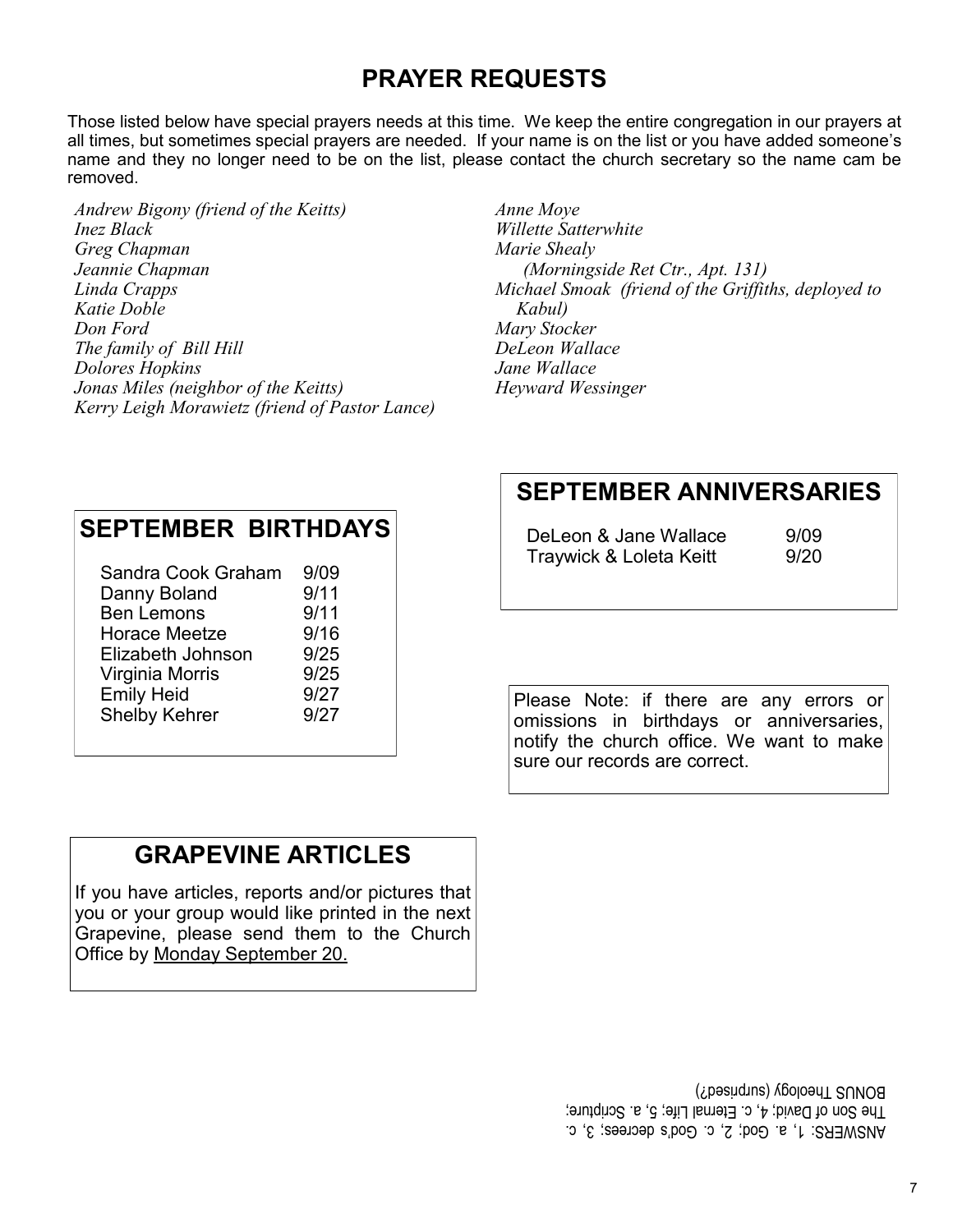# **PRAYER REQUESTS**

Those listed below have special prayers needs at this time. We keep the entire congregation in our prayers at all times, but sometimes special prayers are needed. If your name is on the list or you have added someone's name and they no longer need to be on the list, please contact the church secretary so the name cam be removed.

*Andrew Bigony (friend of the Keitts) Inez Black Greg Chapman Jeannie Chapman Linda Crapps Katie Doble Don Ford The family of Bill Hill Dolores Hopkins Jonas Miles (neighbor of the Keitts) Kerry Leigh Morawietz (friend of Pastor Lance)*

*Anne Moye Willette Satterwhite Marie Shealy (Morningside Ret Ctr., Apt. 131) Michael Smoak (friend of the Griffiths, deployed to Kabul) Mary Stocker DeLeon Wallace Jane Wallace Heyward Wessinger*

## **SEPTEMBER BIRTHDAYS**

| Sandra Cook Graham   | 9/09 |
|----------------------|------|
| Danny Boland         | 9/11 |
| <b>Ben Lemons</b>    | 9/11 |
| <b>Horace Meetze</b> | 9/16 |
| Elizabeth Johnson    | 9/25 |
| Virginia Morris      | 9/25 |
| <b>Emily Heid</b>    | 9/27 |
| <b>Shelby Kehrer</b> | 9/27 |
|                      |      |

## **SEPTEMBER ANNIVERSARIES**

| DeLeon & Jane Wallace   | 9/09 |
|-------------------------|------|
| Traywick & Loleta Keitt | 9/20 |

Please Note: if there are any errors or omissions in birthdays or anniversaries, notify the church office. We want to make sure our records are correct.

## **GRAPEVINE ARTICLES**

If you have articles, reports and/or pictures that you or your group would like printed in the next Grapevine, please send them to the Church Office by Monday September 20.

> ANSWERS: 1, a. God; 2, c. God's decrees; 3, c. The Son of David;  $4, c.$  Eternal Life; 5, a. Scripture;  $BOMOR$   $I$   $PPOQQ$  $N$  (surprised $J$ )